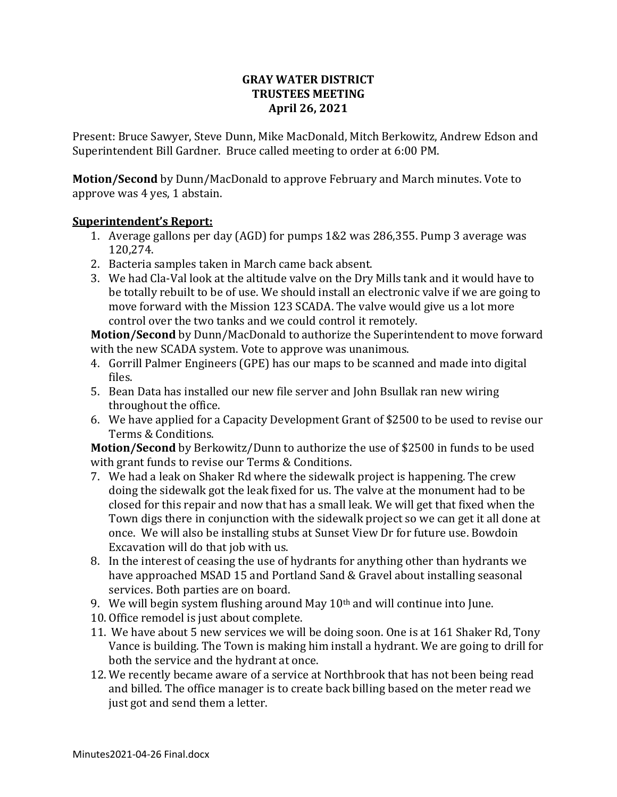## **GRAY WATER DISTRICT TRUSTEES MEETING April 26, 2021**

Present: Bruce Sawyer, Steve Dunn, Mike MacDonald, Mitch Berkowitz, Andrew Edson and Superintendent Bill Gardner. Bruce called meeting to order at 6:00 PM.

**Motion/Second** by Dunn/MacDonald to approve February and March minutes. Vote to approve was 4 yes, 1 abstain.

## **Superintendent's Report:**

- 1. Average gallons per day (AGD) for pumps 1&2 was 286,355. Pump 3 average was 120,274.
- 2. Bacteria samples taken in March came back absent.
- 3. We had Cla-Val look at the altitude valve on the Dry Mills tank and it would have to be totally rebuilt to be of use. We should install an electronic valve if we are going to move forward with the Mission 123 SCADA. The valve would give us a lot more control over the two tanks and we could control it remotely.

**Motion/Second** by Dunn/MacDonald to authorize the Superintendent to move forward with the new SCADA system. Vote to approve was unanimous.

- 4. Gorrill Palmer Engineers (GPE) has our maps to be scanned and made into digital files.
- 5. Bean Data has installed our new file server and John Bsullak ran new wiring throughout the office.
- 6. We have applied for a Capacity Development Grant of \$2500 to be used to revise our Terms & Conditions.

**Motion/Second** by Berkowitz/Dunn to authorize the use of \$2500 in funds to be used with grant funds to revise our Terms & Conditions.

- 7. We had a leak on Shaker Rd where the sidewalk project is happening. The crew doing the sidewalk got the leak fixed for us. The valve at the monument had to be closed for this repair and now that has a small leak. We will get that fixed when the Town digs there in conjunction with the sidewalk project so we can get it all done at once. We will also be installing stubs at Sunset View Dr for future use. Bowdoin Excavation will do that job with us.
- 8. In the interest of ceasing the use of hydrants for anything other than hydrants we have approached MSAD 15 and Portland Sand & Gravel about installing seasonal services. Both parties are on board.
- 9. We will begin system flushing around May  $10<sup>th</sup>$  and will continue into June.
- 10. Office remodel is just about complete.
- 11. We have about 5 new services we will be doing soon. One is at 161 Shaker Rd, Tony Vance is building. The Town is making him install a hydrant. We are going to drill for both the service and the hydrant at once.
- 12. We recently became aware of a service at Northbrook that has not been being read and billed. The office manager is to create back billing based on the meter read we just got and send them a letter.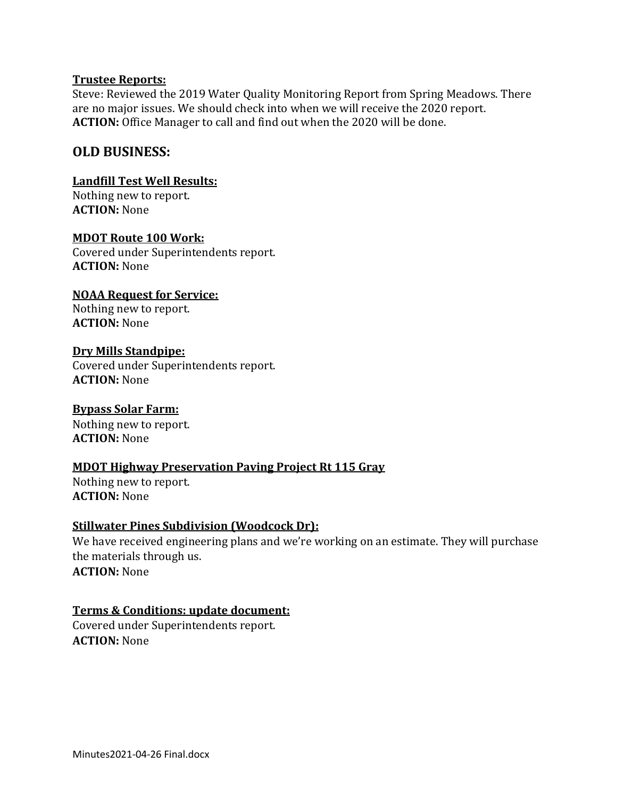#### **Trustee Reports:**

Steve: Reviewed the 2019 Water Quality Monitoring Report from Spring Meadows. There are no major issues. We should check into when we will receive the 2020 report. **ACTION:** Office Manager to call and find out when the 2020 will be done.

## **OLD BUSINESS:**

#### **Landfill Test Well Results:**

Nothing new to report. **ACTION:** None

#### **MDOT Route 100 Work:**

Covered under Superintendents report. **ACTION:** None

# **NOAA Request for Service:**

Nothing new to report. **ACTION:** None

## **Dry Mills Standpipe:**

Covered under Superintendents report. **ACTION:** None

## **Bypass Solar Farm:**

Nothing new to report. **ACTION:** None

## **MDOT Highway Preservation Paving Project Rt 115 Gray**

Nothing new to report. **ACTION:** None

## **Stillwater Pines Subdivision (Woodcock Dr):**

We have received engineering plans and we're working on an estimate. They will purchase the materials through us. **ACTION:** None

## **Terms & Conditions: update document:**

Covered under Superintendents report. **ACTION:** None